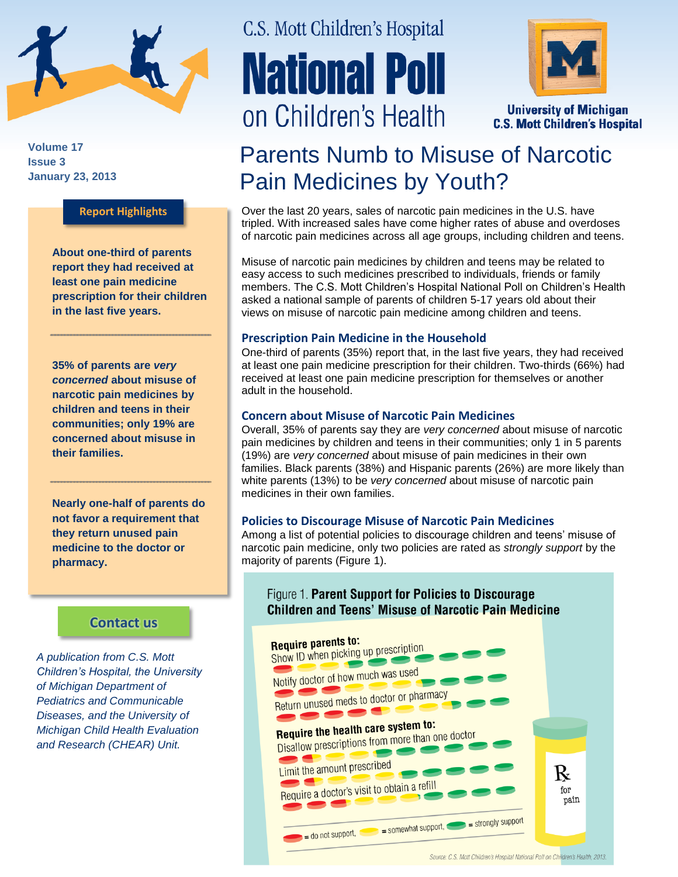

**Volume 17 Issue 3 January 23, 2013**

#### **Report Highlights**

**About one-third of parents report they had received at least one pain medicine prescription for their children in the last five years.**

**35% of parents are** *very concerned* **about misuse of narcotic pain medicines by children and teens in their communities; only 19% are concerned about misuse in their families.**

**Nearly one-half of parents do not favor a requirement that they return unused pain medicine to the doctor or pharmacy.** 

### **[Contact us](http://mottnpch.org/contact)**

*A publication from C.S. Mott Children's Hospital, the University of Michigan Department of Pediatrics and Communicable Diseases, and the University of Michigan Child Health Evaluation and Research (CHEAR) Unit.*

# C.S. Mott Children's Hospital **National Poll** on Children's Health



**University of Michigan C.S. Mott Children's Hospital** 

# Parents Numb to Misuse of Narcotic Pain Medicines by Youth?

Over the last 20 years, sales of narcotic pain medicines in the U.S. have tripled. With increased sales have come higher rates of abuse and overdoses of narcotic pain medicines across all age groups, including children and teens.

Misuse of narcotic pain medicines by children and teens may be related to easy access to such medicines prescribed to individuals, friends or family members. The C.S. Mott Children's Hospital National Poll on Children's Health asked a national sample of parents of children 5-17 years old about their views on misuse of narcotic pain medicine among children and teens.

#### **Prescription Pain Medicine in the Household**

One-third of parents (35%) report that, in the last five years, they had received at least one pain medicine prescription for their children. Two-thirds (66%) had received at least one pain medicine prescription for themselves or another adult in the household.

#### **Concern about Misuse of Narcotic Pain Medicines**

Overall, 35% of parents say they are *very concerned* about misuse of narcotic pain medicines by children and teens in their communities; only 1 in 5 parents (19%) are *very concerned* about misuse of pain medicines in their own families. Black parents (38%) and Hispanic parents (26%) are more likely than white parents (13%) to be *very concerned* about misuse of narcotic pain medicines in their own families.

#### **Policies to Discourage Misuse of Narcotic Pain Medicines**

Among a list of potential policies to discourage children and teens' misuse of narcotic pain medicine, only two policies are rated as *strongly support* by the majority of parents (Figure 1).

## Figure 1. Parent Support for Policies to Discourage **Children and Teens' Misuse of Narcotic Pain Medicine**



Source: C.S. Mott Children's Hospital National Poll on Children's Health, 2013.